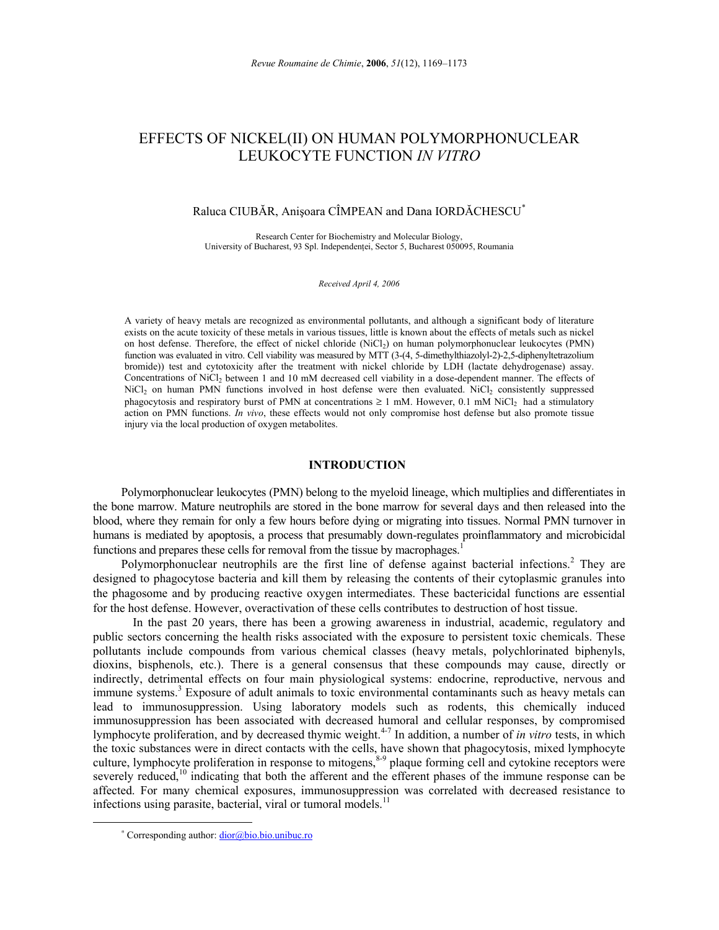# EFFECTS OF NICKEL(II) ON HUMAN POLYMORPHONUCLEAR LEUKOCYTE FUNCTION *IN VITRO*

## Raluca CIUBĂR, Anişoara CÎMPEAN and Dana IORDĂCHESCU\*

Research Center for Biochemistry and Molecular Biology, University of Bucharest, 93 Spl. Independenţei, Sector 5, Bucharest 050095, Roumania

*Received April 4, 2006*

A variety of heavy metals are recognized as environmental pollutants, and although a significant body of literature exists on the acute toxicity of these metals in various tissues, little is known about the effects of metals such as nickel on host defense. Therefore, the effect of nickel chloride (NiCl<sub>2</sub>) on human polymorphonuclear leukocytes (PMN) function was evaluated in vitro. Cell viability was measured by MTT (3-(4, 5-dimethylthiazolyl-2)-2,5-diphenyltetrazolium bromide)) test and cytotoxicity after the treatment with nickel chloride by LDH (lactate dehydrogenase) assay. Concentrations of NiCl<sub>2</sub> between 1 and 10 mM decreased cell viability in a dose-dependent manner. The effects of NiCl<sub>2</sub> on human PMN functions involved in host defense were then evaluated. NiCl<sub>2</sub> consistently suppressed phagocytosis and respiratory burst of PMN at concentrations  $\geq 1$  mM. However, 0.1 mM NiCl<sub>2</sub> had a stimulatory action on PMN functions. *In vivo*, these effects would not only compromise host defense but also promote tissue injury via the local production of oxygen metabolites.

## **INTRODUCTION**<sup>∗</sup>

Polymorphonuclear leukocytes (PMN) belong to the myeloid lineage, which multiplies and differentiates in the bone marrow. Mature neutrophils are stored in the bone marrow for several days and then released into the blood, where they remain for only a few hours before dying or migrating into tissues. Normal PMN turnover in humans is mediated by apoptosis, a process that presumably down-regulates proinflammatory and microbicidal functions and prepares these cells for removal from the tissue by macrophages.<sup>1</sup>

Polymorphonuclear neutrophils are the first line of defense against bacterial infections.<sup>2</sup> They are designed to phagocytose bacteria and kill them by releasing the contents of their cytoplasmic granules into the phagosome and by producing reactive oxygen intermediates. These bactericidal functions are essential for the host defense. However, overactivation of these cells contributes to destruction of host tissue.

 In the past 20 years, there has been a growing awareness in industrial, academic, regulatory and public sectors concerning the health risks associated with the exposure to persistent toxic chemicals. These pollutants include compounds from various chemical classes (heavy metals, polychlorinated biphenyls, dioxins, bisphenols, etc.). There is a general consensus that these compounds may cause, directly or indirectly, detrimental effects on four main physiological systems: endocrine, reproductive, nervous and immune systems.<sup>3</sup> Exposure of adult animals to toxic environmental contaminants such as heavy metals can lead to immunosuppression. Using laboratory models such as rodents, this chemically induced immunosuppression has been associated with decreased humoral and cellular responses, by compromised lymphocyte proliferation, and by decreased thymic weight.<sup>4-7</sup> In addition, a number of *in vitro* tests, in which the toxic substances were in direct contacts with the cells, have shown that phagocytosis, mixed lymphocyte culture, lymphocyte proliferation in response to mitogens,<sup>8-9</sup> plaque forming cell and cytokine receptors were severely reduced,<sup>10</sup> indicating that both the afferent and the efferent phases of the immune response can be affected. For many chemical exposures, immunosuppression was correlated with decreased resistance to infections using parasite, bacterial, viral or tumoral models.<sup>11</sup>

<sup>∗</sup> Corresponding author: dior@bio.bio.unibuc.ro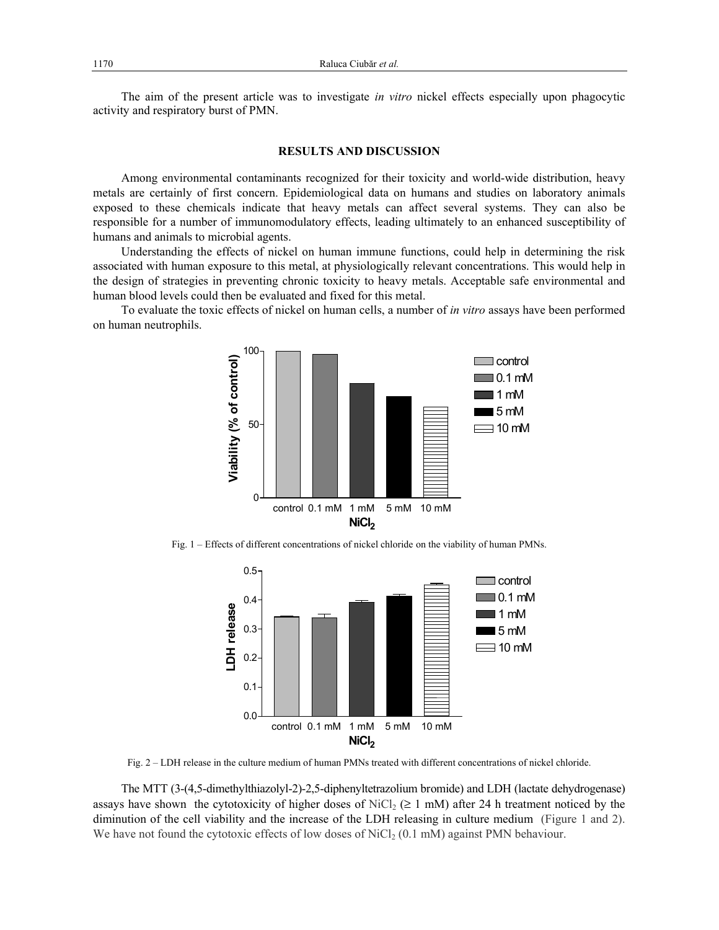The aim of the present article was to investigate *in vitro* nickel effects especially upon phagocytic activity and respiratory burst of PMN.

## **RESULTS AND DISCUSSION**

Among environmental contaminants recognized for their toxicity and world-wide distribution, heavy metals are certainly of first concern. Epidemiological data on humans and studies on laboratory animals exposed to these chemicals indicate that heavy metals can affect several systems. They can also be responsible for a number of immunomodulatory effects, leading ultimately to an enhanced susceptibility of humans and animals to microbial agents.

Understanding the effects of nickel on human immune functions, could help in determining the risk associated with human exposure to this metal, at physiologically relevant concentrations. This would help in the design of strategies in preventing chronic toxicity to heavy metals. Acceptable safe environmental and human blood levels could then be evaluated and fixed for this metal.

To evaluate the toxic effects of nickel on human cells, a number of *in vitro* assays have been performed on human neutrophils.



Fig. 1 – Effects of different concentrations of nickel chloride on the viability of human PMNs.



Fig. 2 – LDH release in the culture medium of human PMNs treated with different concentrations of nickel chloride.

The MTT (3-(4,5-dimethylthiazolyl-2)-2,5-diphenyltetrazolium bromide) and LDH (lactate dehydrogenase) assays have shown the cytotoxicity of higher doses of NiCl<sub>2</sub> ( $\geq$  1 mM) after 24 h treatment noticed by the diminution of the cell viability and the increase of the LDH releasing in culture medium (Figure 1 and 2). We have not found the cytotoxic effects of low doses of  $\text{NiCl}_2$  (0.1 mM) against PMN behaviour.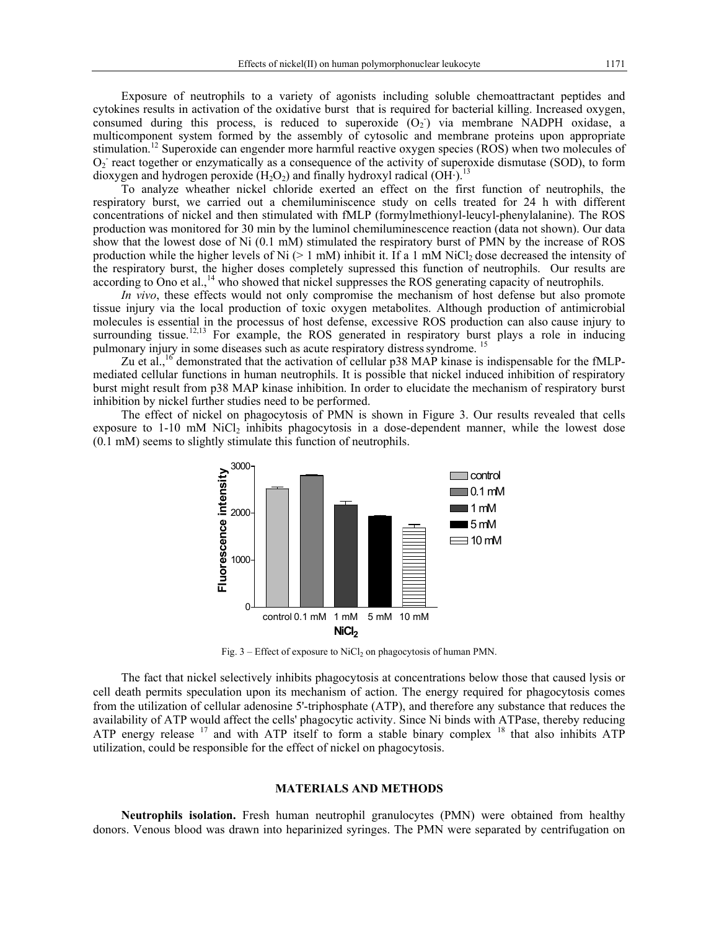Exposure of neutrophils to a variety of agonists including soluble chemoattractant peptides and cytokines results in activation of the oxidative burst that is required for bacterial killing. Increased oxygen, consumed during this process, is reduced to superoxide  $(O_2)$  via membrane NADPH oxidase, a multicomponent system formed by the assembly of cytosolic and membrane proteins upon appropriate stimulation.<sup>12</sup> Superoxide can engender more harmful reactive oxygen species (ROS) when two molecules of  $O<sub>2</sub>$  react together or enzymatically as a consequence of the activity of superoxide dismutase (SOD), to form dioxygen and hydrogen peroxide (H<sub>2</sub>O<sub>2</sub>) and finally hydroxyl radical (OH·).<sup>13</sup>

To analyze wheather nickel chloride exerted an effect on the first function of neutrophils, the respiratory burst, we carried out a chemiluminiscence study on cells treated for 24 h with different concentrations of nickel and then stimulated with fMLP (formylmethionyl-leucyl-phenylalanine). The ROS production was monitored for 30 min by the luminol chemiluminescence reaction (data not shown). Our data show that the lowest dose of Ni (0.1 mM) stimulated the respiratory burst of PMN by the increase of ROS production while the higher levels of Ni ( $> 1$  mM) inhibit it. If a 1 mM NiCl<sub>2</sub> dose decreased the intensity of the respiratory burst, the higher doses completely supressed this function of neutrophils. Our results are according to Ono et al.,<sup>14</sup> who showed that nickel suppresses the ROS generating capacity of neutrophils.

*In vivo*, these effects would not only compromise the mechanism of host defense but also promote tissue injury via the local production of toxic oxygen metabolites. Although production of antimicrobial molecules is essential in the processus of host defense, excessive ROS production can also cause injury to surrounding tissue.<sup>12,13</sup> For example, the ROS generated in respiratory burst plays a role in inducing pulmonary injury in some diseases such as acute respiratory distress syndrome.<sup>15</sup>

Zu et al.,<sup>16</sup> demonstrated that the activation of cellular p38 MAP kinase is indispensable for the fMLPmediated cellular functions in human neutrophils. It is possible that nickel induced inhibition of respiratory burst might result from p38 MAP kinase inhibition. In order to elucidate the mechanism of respiratory burst inhibition by nickel further studies need to be performed.

The effect of nickel on phagocytosis of PMN is shown in Figure 3. Our results revealed that cells exposure to 1-10 mM NiCl<sub>2</sub> inhibits phagocytosis in a dose-dependent manner, while the lowest dose (0.1 mM) seems to slightly stimulate this function of neutrophils.



Fig.  $3$  – Effect of exposure to NiCl<sub>2</sub> on phagocytosis of human PMN.

The fact that nickel selectively inhibits phagocytosis at concentrations below those that caused lysis or cell death permits speculation upon its mechanism of action. The energy required for phagocytosis comes from the utilization of cellular adenosine 5'-triphosphate (ATP), and therefore any substance that reduces the availability of ATP would affect the cells' phagocytic activity. Since Ni binds with ATPase, thereby reducing ATP energy release  $17$  and with ATP itself to form a stable binary complex  $18$  that also inhibits ATP utilization, could be responsible for the effect of nickel on phagocytosis.

### **MATERIALS AND METHODS**

**Neutrophils isolation.** Fresh human neutrophil granulocytes (PMN) were obtained from healthy donors. Venous blood was drawn into heparinized syringes. The PMN were separated by centrifugation on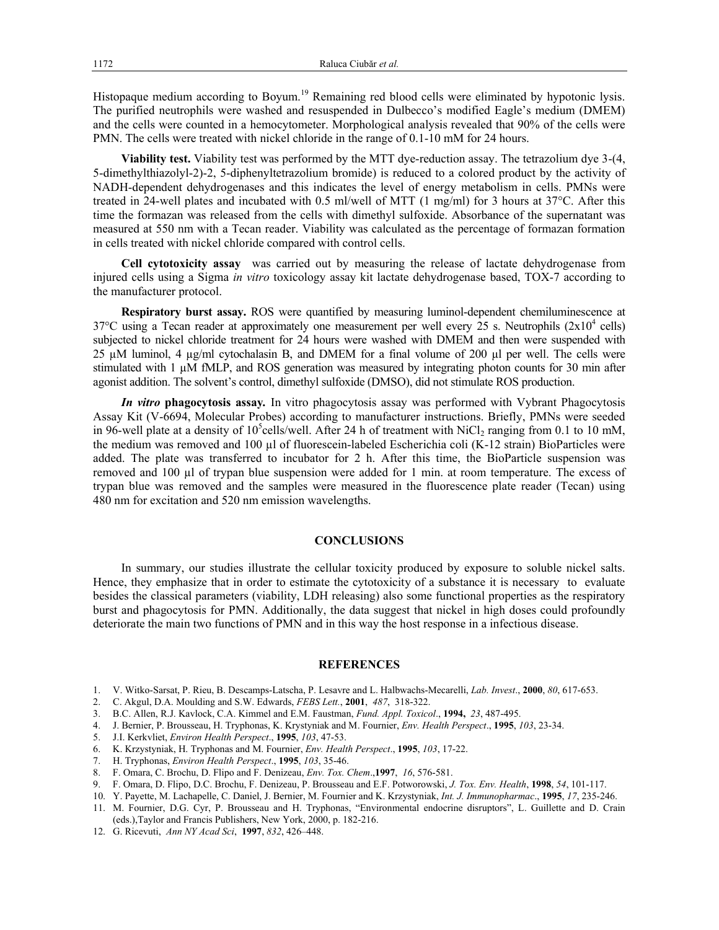Histopaque medium according to Boyum.<sup>19</sup> Remaining red blood cells were eliminated by hypotonic lysis. The purified neutrophils were washed and resuspended in Dulbecco's modified Eagle's medium (DMEM) and the cells were counted in a hemocytometer. Morphological analysis revealed that 90% of the cells were PMN. The cells were treated with nickel chloride in the range of 0.1-10 mM for 24 hours.

**Viability test.** Viability test was performed by the MTT dye-reduction assay. The tetrazolium dye 3-(4, 5-dimethylthiazolyl-2)-2, 5-diphenyltetrazolium bromide) is reduced to a colored product by the activity of NADH-dependent dehydrogenases and this indicates the level of energy metabolism in cells. PMNs were treated in 24-well plates and incubated with 0.5 ml/well of MTT (1 mg/ml) for 3 hours at 37°C. After this time the formazan was released from the cells with dimethyl sulfoxide. Absorbance of the supernatant was measured at 550 nm with a Tecan reader. Viability was calculated as the percentage of formazan formation in cells treated with nickel chloride compared with control cells.

**Cell cytotoxicity assay** was carried out by measuring the release of lactate dehydrogenase from injured cells using a Sigma *in vitro* toxicology assay kit lactate dehydrogenase based, TOX-7 according to the manufacturer protocol.

**Respiratory burst assay.** ROS were quantified by measuring luminol-dependent chemiluminescence at  $37^{\circ}$ C using a Tecan reader at approximately one measurement per well every 25 s. Neutrophils  $(2x10^4 \text{ cells})$ subjected to nickel chloride treatment for 24 hours were washed with DMEM and then were suspended with 25 µM luminol, 4 µg/ml cytochalasin B, and DMEM for a final volume of 200 µl per well. The cells were stimulated with  $1 \mu M$  fMLP, and ROS generation was measured by integrating photon counts for 30 min after agonist addition. The solvent's control, dimethyl sulfoxide (DMSO), did not stimulate ROS production.

*In vitro* **phagocytosis assay***.* In vitro phagocytosis assay was performed with Vybrant Phagocytosis Assay Kit (V-6694, Molecular Probes) according to manufacturer instructions. Briefly, PMNs were seeded in 96-well plate at a density of  $10^5$ cells/well. After 24 h of treatment with NiCl<sub>2</sub> ranging from 0.1 to 10 mM, the medium was removed and 100  $\mu$ l of fluorescein-labeled Escherichia coli (K-12 strain) BioParticles were added. The plate was transferred to incubator for 2 h. After this time, the BioParticle suspension was removed and 100 µl of trypan blue suspension were added for 1 min. at room temperature. The excess of trypan blue was removed and the samples were measured in the fluorescence plate reader (Tecan) using 480 nm for excitation and 520 nm emission wavelengths.

### **CONCLUSIONS**

In summary, our studies illustrate the cellular toxicity produced by exposure to soluble nickel salts. Hence, they emphasize that in order to estimate the cytotoxicity of a substance it is necessary to evaluate besides the classical parameters (viability, LDH releasing) also some functional properties as the respiratory burst and phagocytosis for PMN. Additionally, the data suggest that nickel in high doses could profoundly deteriorate the main two functions of PMN and in this way the host response in a infectious disease.

#### **REFERENCES**

- 1. V. Witko-Sarsat, P. Rieu, B. Descamps-Latscha, P. Lesavre and L. Halbwachs-Mecarelli, *Lab. Invest*., **2000**, *80*, 617-653.
- 2. C. Akgul, D.A. Moulding and S.W. Edwards, *FEBS Lett.*, **2001**, *487*, 318-322.
- 3. B.C. Allen, R.J. Kavlock, C.A. Kimmel and E.M. Faustman, *Fund. Appl. Toxicol*., **1994,** *23*, 487-495.
- 4. J. Bernier, P. Brousseau, H. Tryphonas, K. Krystyniak and M. Fournier, *Env. Health Perspect*., **1995**, *103*, 23-34.
- 5. J.I. Kerkvliet, *Environ Health Perspect*., **1995**, *103*, 47-53.
- 6. K. Krzystyniak, H. Tryphonas and M. Fournier, *Env. Health Perspect*., **1995**, *103*, 17-22.
- 7. H. Tryphonas, *Environ Health Perspect*., **1995**, *103*, 35-46.
- 8. F. Omara, C. Brochu, D. Flipo and F. Denizeau, *Env. Tox. Chem*.,**1997**, *16*, 576-581.
- 9. F. Omara, D. Flipo, D.C. Brochu, F. Denizeau, P. Brousseau and E.F. Potworowski, *J. Tox. Env. Health*, **1998**, *54*, 101-117.
- 10. Y. Payette, M. Lachapelle, C. Daniel, J. Bernier, M. Fournier and K. Krzystyniak, *Int. J. Immunopharmac*., **1995**, *17*, 235-246.
- 11. M. Fournier, D.G. Cyr, P. Brousseau and H. Tryphonas, "Environmental endocrine disruptors", L. Guillette and D. Crain (eds.),Taylor and Francis Publishers, New York, 2000, p. 182-216.
- 12. G. Ricevuti, *Ann NY Acad Sci*, **1997**, *832*, 426–448.